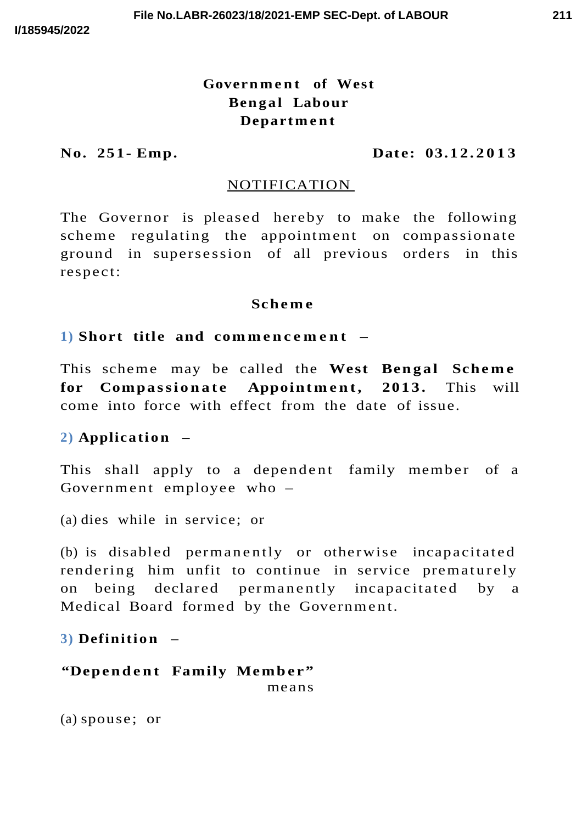# Government of West **Bengal** Labour **Depart m e n t**

#### **No. 251- Emp. Date: 03.1 2. 2 0 1 3**

#### NOTIFICATION

The Governor is pleased hereby to make the following scheme regulating the appointment on compassionate ground in supersession of all previous orders in this respect:

#### **Sch e m e**

#### **1) Short title and com m e n c e m e n t –**

This scheme may be called the West Bengal Scheme **for Compassionate Appointment**, **2013.** This will come into force with effect from the date of issue.

# **2) Application** –

This shall apply to a dependent family member of a Government employee who  $-$ 

(a) dies while in service; or

 $(b)$  is disabled permanently or otherwise incapacitated rendering him unfit to continue in service prematurely on being declared permanently incapacitated by a Medical Board formed by the Government.

## **3) Definition** –

**"Depe n d e n t Family Memb e r"** means

(a) spouse; or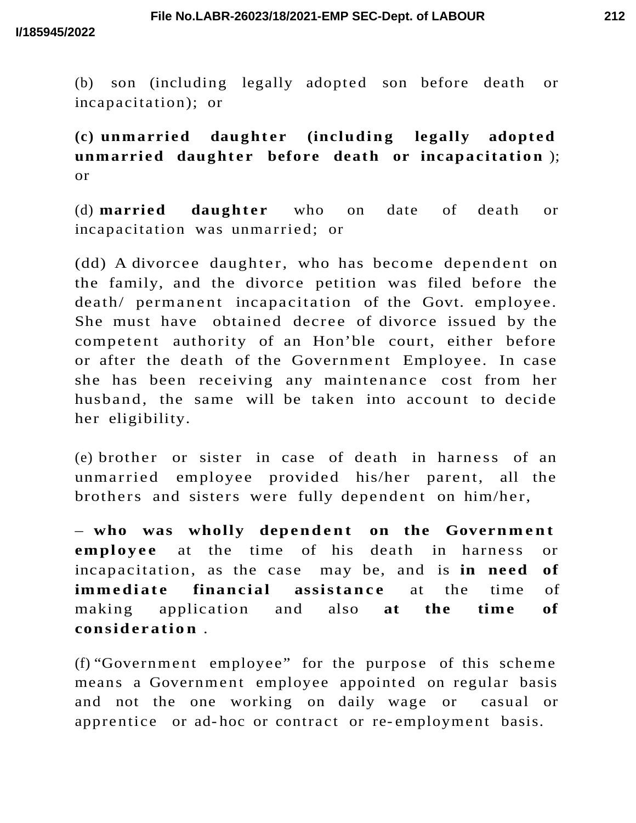(b) son (including legally adopted son before death or incapacitation); or

 $(c)$  **unmarried daughter** (including legally adopted **unmarried** daughter before death or incapacitation); or

(d) **married daughter** who on date of death or incapacitation was unmarried; or

(dd) A divorcee daughter, who has become dependent on the family, and the divorce petition was filed before the death/ permanent incapacitation of the Govt. employee. She must have obtained decree of divorce issued by the competent authority of an Hon'ble court, either before or after the death of the Government Employee. In case she has been receiving any maintenance cost from her husband, the same will be taken into account to decide her eligibility.

(e) brother or sister in case of death in harness of an unmarried employee provided his/her parent, all the brothers and sisters were fully dependent on him/her,

– who was wholly dependent on the Government **employee** at the time of his death in harness or incapacitation, as the case may be, and is **in need of immediate financial assistance** at the time of making application and also **at the time of consid e r a ti o n** .

(f) "Government employee" for the purpose of this scheme means a Government employee appointed on regular basis and not the one working on daily wage or casual or apprentice or ad-hoc or contract or re-employment basis.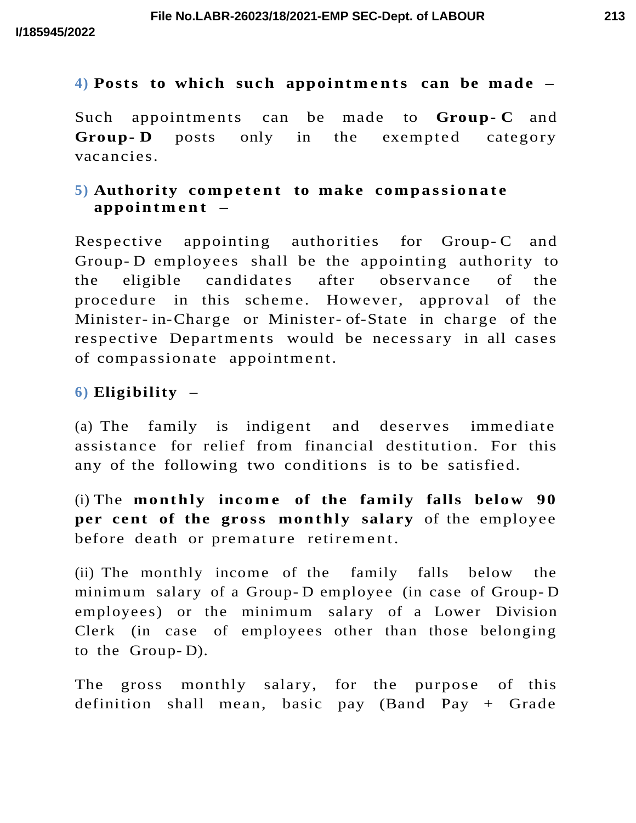## 4) Posts to which such appointments can be made  $-$

Such appointments can be made to **Group-C** and **Group-D** posts only in the exempted category vacancies.

# **5) Authority competent to make compassionate appoin t m e n t –**

Respective appointing authorities for Group-C and Group- D employees shall be the appointing authority to the eligible candidates after observance of the procedure in this scheme. However, approval of the Minister- in-Charge or Minister- of-State in charge of the respective Departments would be necessary in all cases of compassionate appointment.

## **6) Eligibility –**

(a) The family is indigent and deserves immediate assistance for relief from financial destitution. For this any of the following two conditions is to be satisfied.

(i) The **monthly income of the family falls below 90 per cent of the gross monthly salary** of the employee before death or premature retirement.

(ii) The monthly income of the family falls below the minimum salary of a Group- D employee (in case of Group- D employees) or the minimum salary of a Lower Division Clerk (in case of employees other than those belonging to the Group- D).

The gross monthly salary, for the purpose of this definition shall mean, basic pay (Band Pay + Grade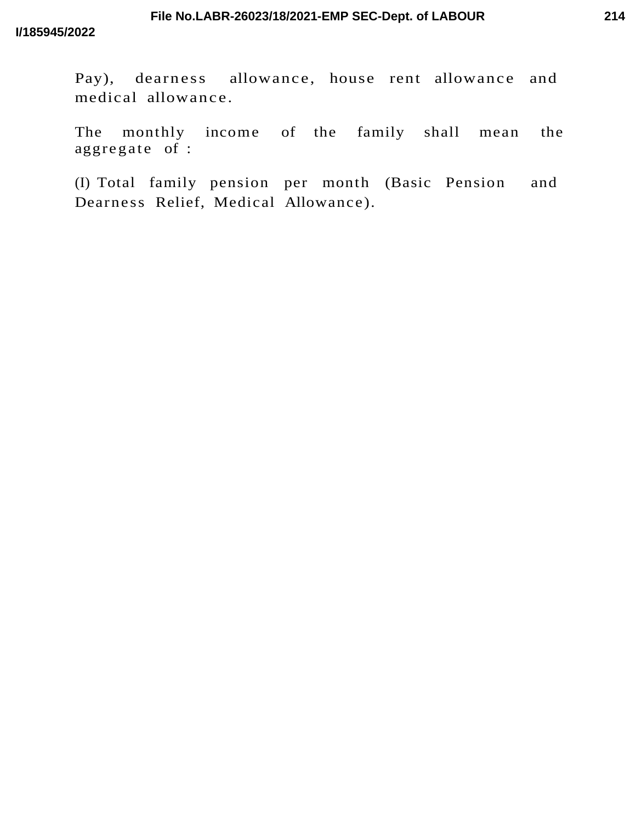Pay), dearness allowance, house rent allowance and medical allowance.

The monthly income of the family shall mean the aggregate of :

(I) Total family pension per month (Basic Pension and Dearness Relief, Medical Allowance).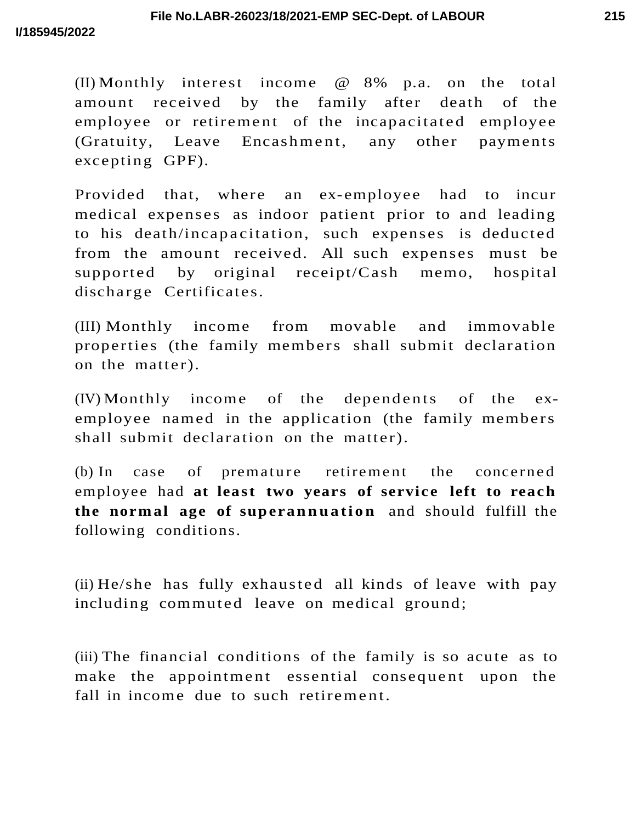(II) Monthly interest income @ 8% p.a. on the total amount received by the family after death of the employee or retirement of the incapacitated employee (Gratuity, Leave Encashment, any other payments excepting GPF).

Provided that, where an ex-employee had to incur medical expenses as indoor patient prior to and leading to his death/incapacitation, such expenses is deducted from the amount received. All such expenses must be supported by original receipt/ $Cash$  memo, hospital discharge Certificates.

(III) Monthly income from movable and immovable properties (the family members shall submit declaration on the matter).

 $(IV)$  Monthly income of the dependents of the exemployee named in the application (the family members shall submit declaration on the matter).

(b) In case of premature retirement the concerned employee had **at least two years of servic e left to reac h the normal age of superannuation** and should fulfill the following conditions.

(ii)  $He/she$  has fully exhausted all kinds of leave with pay including commuted leave on medical ground;

(iii) The financial conditions of the family is so acute as to make the appointment essential consequent upon the fall in income due to such retirement.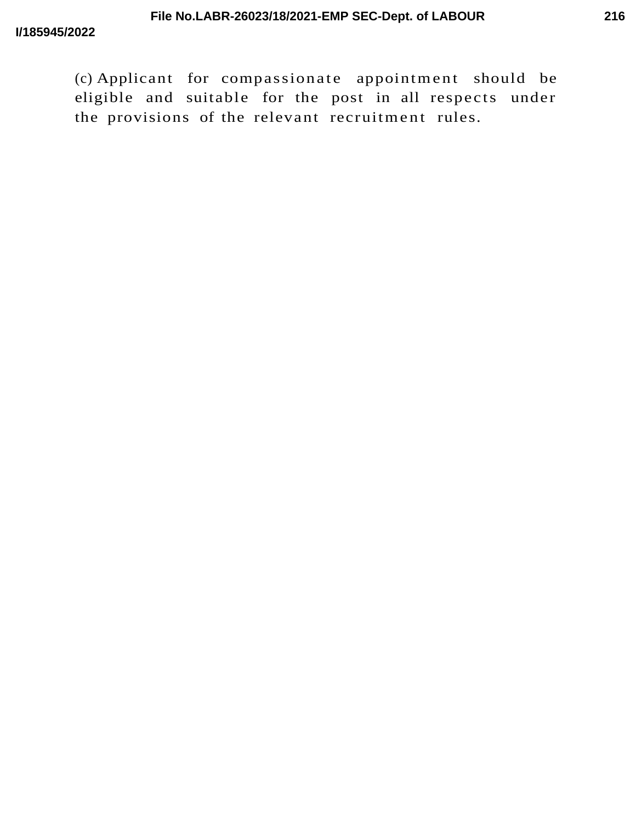(c) Applicant for compassionate appointment should be eligible and suitable for the post in all respects under the provisions of the relevant recruitment rules.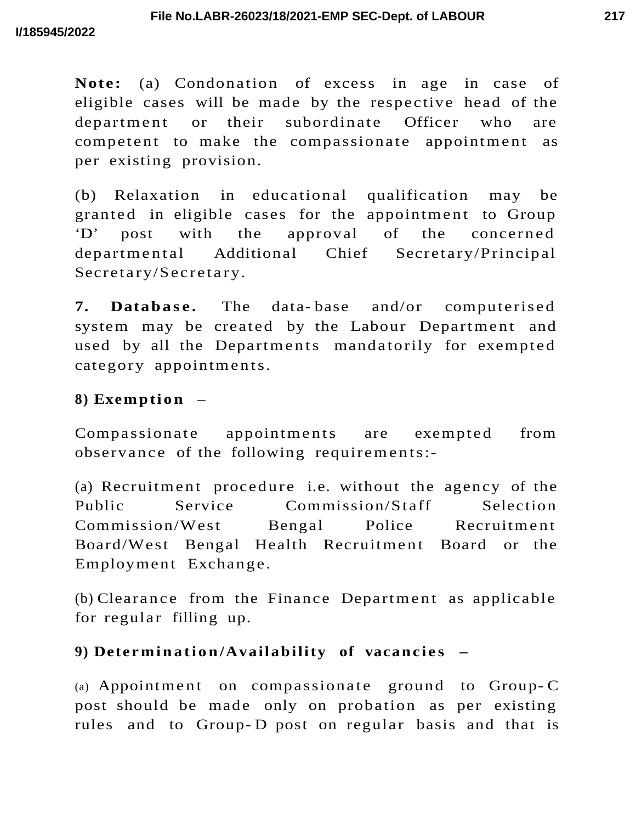**Note:** (a) Condonation of excess in age in case of eligible cases will be made by the respective head of the department or their subordinate Officer who are competent to make the compassionate appointment as per existing provision.

(b) Relaxation in educational qualification may be granted in eligible cases for the appointment to Group  $D'$  post with the approval of the concerned departmental Additional Chief Secretary/Principal Secretary/Secretary.

**7. Database.** The data-base and/or computerised system may be created by the Labour Department and used by all the Departments mandatorily for exempted category appointments.

# 8) **Exemption** –

Compassionate appointments are exempted from observance of the following requirements:-

(a) Recruitment procedure i.e. without the agency of the Public Service Commission/Staff Selection Commission/West Bengal Police Recruitment Board/West Bengal Health Recruitment Board or the Employment Exchange.

 $(b)$  Clearance from the Finance Department as applicable for regular filling up.

# 9) **Determination/Availability** of vacancies  $-$

(a) Appointment on compassionate ground to Group-C post should be made only on probation as per existing rules and to Group- D post on regular basis and that is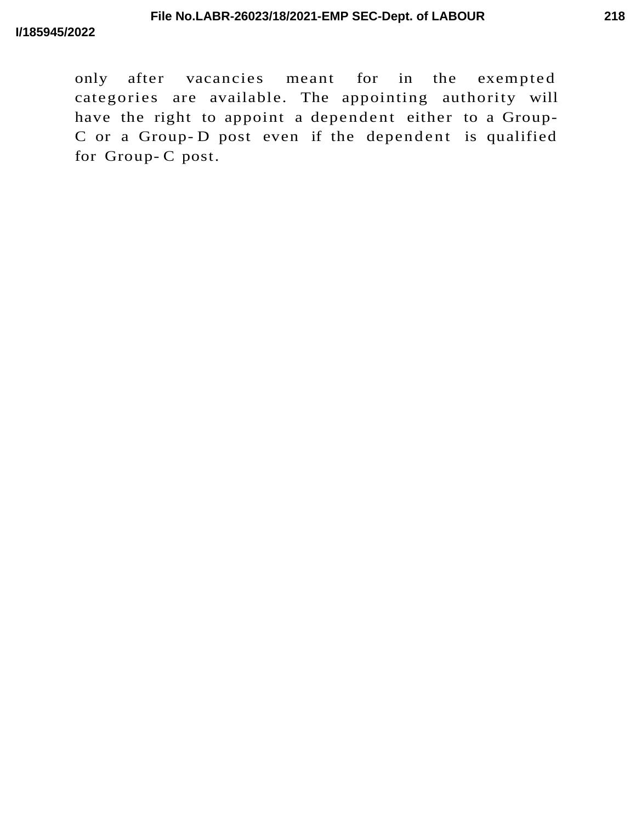only after vacancies meant for in the exempted categories are available. The appointing authority will have the right to appoint a dependent either to a Group-C or a Group-D post even if the dependent is qualified for Group- C post.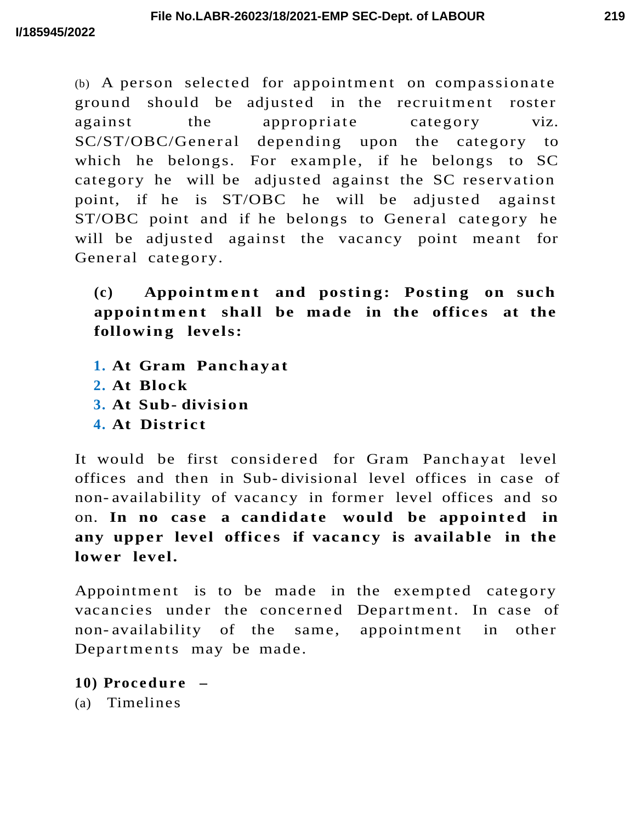$(b)$  A person selected for appointment on compassionate ground should be adjusted in the recruitment roster against the appropriate category viz. SC/ST/OBC/General depending upon the category to which he belongs. For example, if he belongs to SC category he will be adjusted against the SC reservation point, if he is ST/OBC he will be adjusted against ST/OBC point and if he belongs to General category he will be adjusted against the vacancy point meant for General category.

 $(c)$  **Appointment** and posting: Posting on such **appoin t m e n t shall be made in the offic e s at the followin g levels:**

- 1. At Gram Panchayat
- **2. At Block**
- **3. At Sub- divisio n**
- **4. At District**

It would be first considered for Gram Panchayat level offices and then in Sub- divisional level offices in case of non- availability of vacancy in former level offices and so on. In no case a candidate would be appointed in any upper level offices if vacancy is available in the **lower level.**

Appointment is to be made in the exempted category vacancies under the concerned Department. In case of non-availability of the same, appointment in other Departments may be made.

**10) Procedure** –

(a) Timelines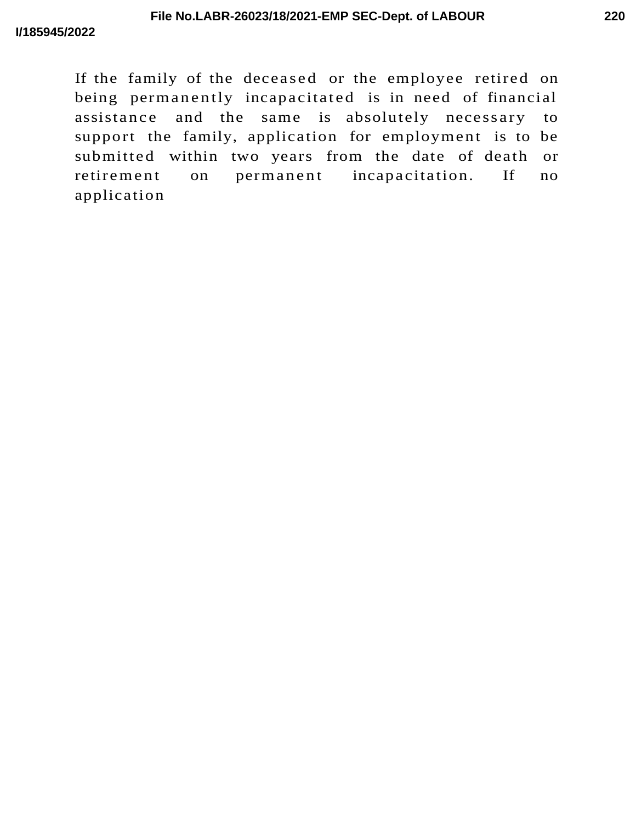If the family of the deceased or the employee retired on being permanently incapacitated is in need of financial assistance and the same is absolutely necessary to support the family, application for employment is to be submitted within two years from the date of death or retirement on permanent incapacitation. If no application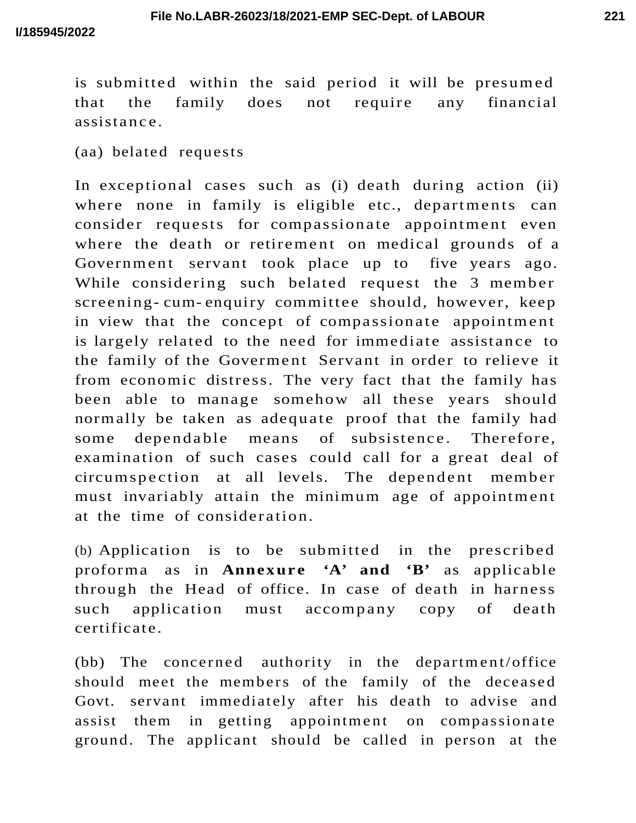is submitted within the said period it will be presumed that the family does not require any financial assista nc e.

(aa) belated requests

In exceptional cases such as (i) death during action (ii) where none in family is eligible etc., departments can consider requests for compassionate appointment even where the death or retirement on medical grounds of a Government servant took place up to five years ago. While considering such belated request the 3 member screening- cum- enquiry committee should, however, keep in view that the concept of compassionate appointment is largely related to the need for immediate assistance to the family of the Goverment Servant in order to relieve it from economic distress. The very fact that the family has been able to manage somehow all these years should normally be taken as adequate proof that the family had some dependable means of subsistence. Therefore, examination of such cases could call for a great deal of circumspection at all levels. The dependent member must invariably attain the minimum age of appointment at the time of consideration.

(b) Application is to be submitted in the prescribed proforma as in **Annexure** 'A' and 'B' as applicable through the Head of office. In case of death in harness such application must accompany copy of death certificate.

(bb) The concerned authority in the department/office should meet the members of the family of the deceased Govt. servant immediately after his death to advise and assist them in getting appointment on compassionate ground. The applicant should be called in person at the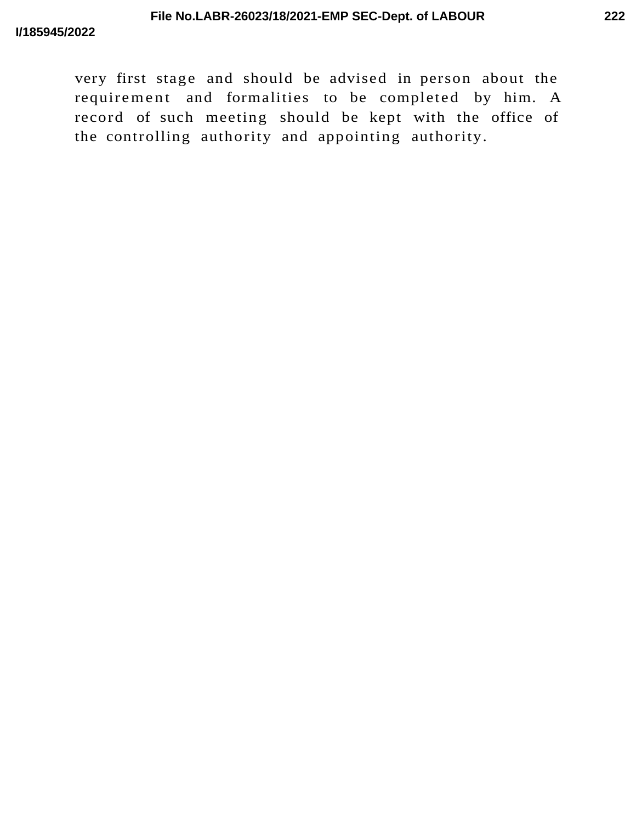very first stage and should be advised in person about the requirement and formalities to be completed by him. A record of such meeting should be kept with the office of the controlling authority and appointing authority.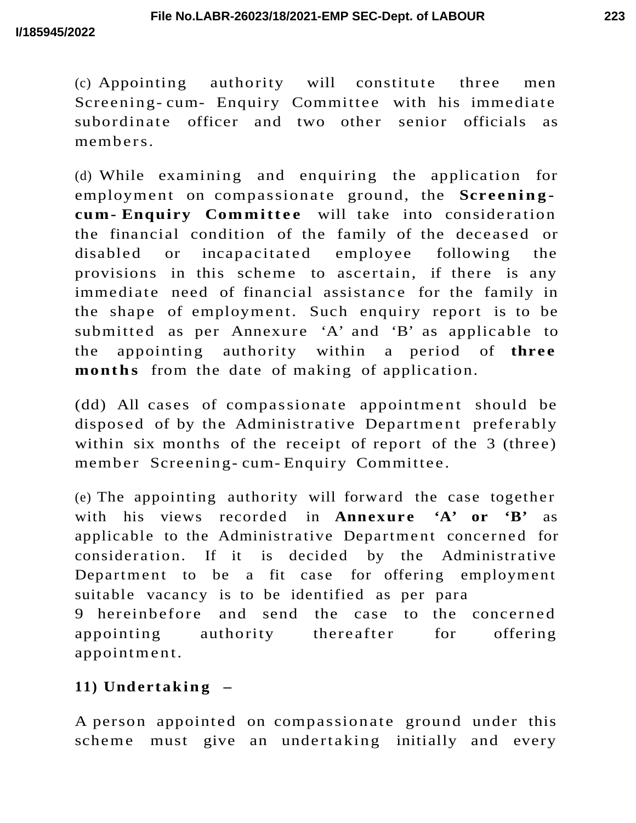(c) Appointing authority will constitute three men Screening- cum- Enquiry Committee with his immediate subordinate officer and two other senior officials as members.

(d) While examining and enquiring the application for employment on compassionate ground, the **Screeningcum- Enquiry Committee** will take into consideration the financial condition of the family of the deceased or disabled or incapacitated employee following the provisions in this scheme to ascertain, if there is any immediate need of financial assistance for the family in the shape of employment. Such enquiry report is to be submitted as per Annexure 'A' and 'B' as applicable to the appointing authority within a period of **three** months from the date of making of application.

(dd) All cases of compassionate appointment should be disposed of by the Administrative Department preferably within six months of the receipt of report of the 3 (three) member Screening-cum-Enquiry Committee.

(e) The appointing authority will forward the case together with his views recorded in **Annexure** 'A' or 'B' as applicable to the Administrative Department concerned for consideration. If it is decided by the Administrative Department to be a fit case for offering employment suitable vacancy is to be identified as per para 9 hereinbefore and send the case to the concerned appointing authority there after for offering appointment.

# 11) **Undertaking**  $-$

A person appointed on compassionate ground under this scheme must give an undertaking initially and every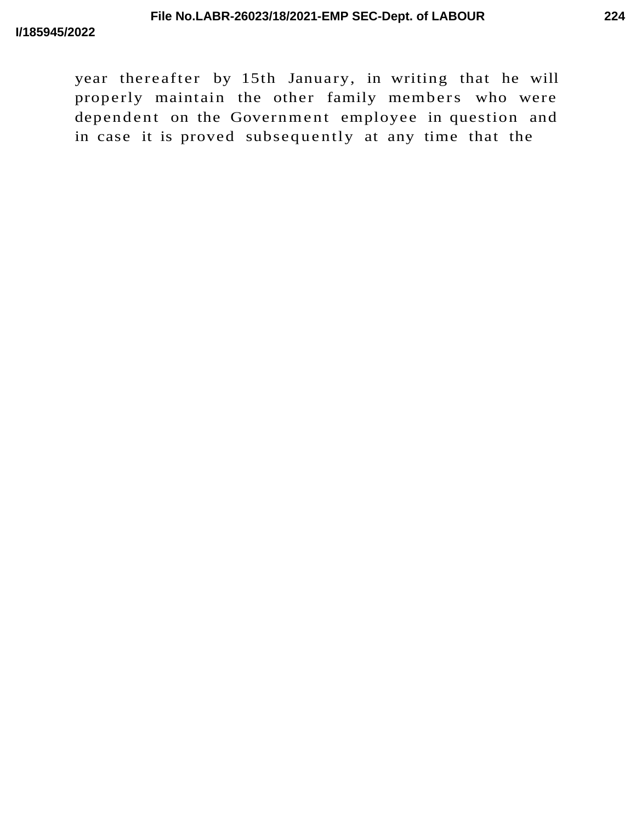year thereafter by 15th January, in writing that he will properly maintain the other family members who were dependent on the Government employee in question and in case it is proved subsequently at any time that the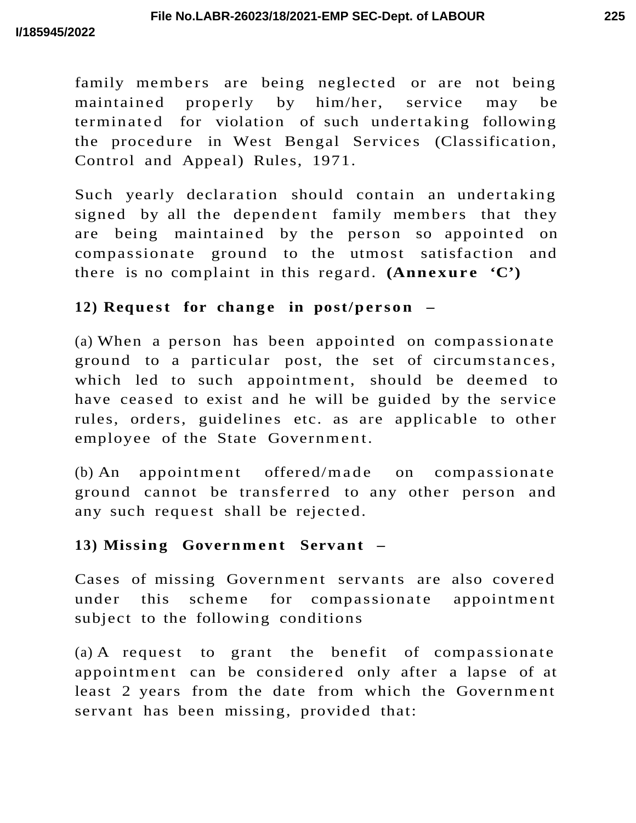family members are being neglected or are not being maintained properly by him/her, service may be terminated for violation of such undertaking following the procedure in West Bengal Services (Classification, Control and Appeal) Rules, 1971.

Such yearly declaration should contain an undertaking signed by all the dependent family members that they are being maintained by the person so appointed on compassionate ground to the utmost satisfaction and there is no complaint in this regard. **(Annexure**  $C'$ **)** 

## **12) Request** for **change** in **post/person** –

(a) When a person has been appointed on compassionate ground to a particular post, the set of circumstances, which led to such appointment, should be deemed to have ceased to exist and he will be guided by the service rules, orders, guidelines etc. as are applicable to other employee of the State Government.

(b) An appointment offered/made on compassionate ground cannot be transferred to any other person and any such request shall be rejected.

## 13) Missing Government Servant –

Cases of missing Government servants are also covered under this scheme for compassionate appointment subject to the following conditions

(a) A request to grant the benefit of compassionate appointment can be considered only after a lapse of at least 2 years from the date from which the Government servant has been missing, provided that: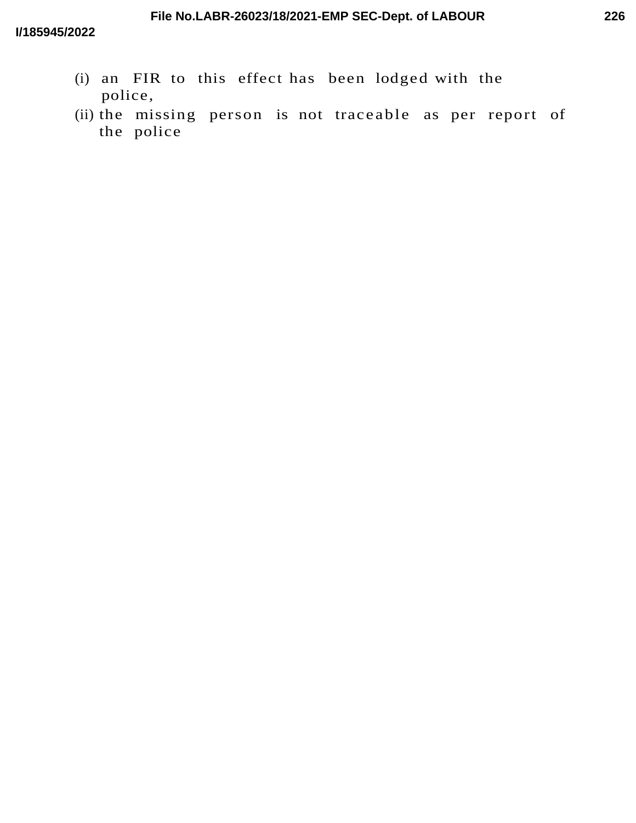- (i) an FIR to this effect has been lodged with the police,
- (ii) the missing person is not traceable as per report of the police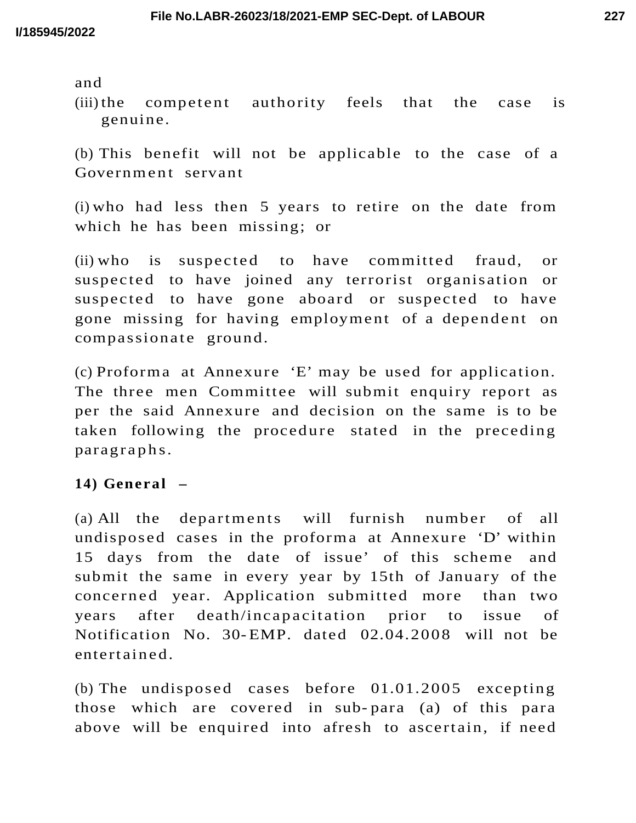and

 $(iii)$  the competent authority feels that the case is genuine.

(b) This benefit will not be applicable to the case of a Government servant

(i) who had less then 5 years to retire on the date from which he has been missing; or

 $(ii)$  who is suspected to have committed fraud, or suspected to have joined any terrorist organisation or suspected to have gone aboard or suspected to have gone missing for having employment of a dependent on compassionate ground.

(c) Proforma at Annexure 'E' may be used for application. The three men Committee will submit enquiry report as per the said Annexure and decision on the same is to be taken following the procedure stated in the preceding paragraphs.

## **14) General –**

(a) All the departments will furnish number of all undisposed cases in the proforma at Annexure 'D' within 15 days from the date of issue' of this scheme and submit the same in every year by 15th of January of the concerned year. Application submitted more than two years after death/incapacitation prior to issue of Notification No. 30- EMP. dated 02.04.2008 will not be entert aine d.

(b) The undisposed cases before  $01.01.2005$  excepting those which are covered in sub- para (a) of this para above will be enquired into afresh to ascertain, if need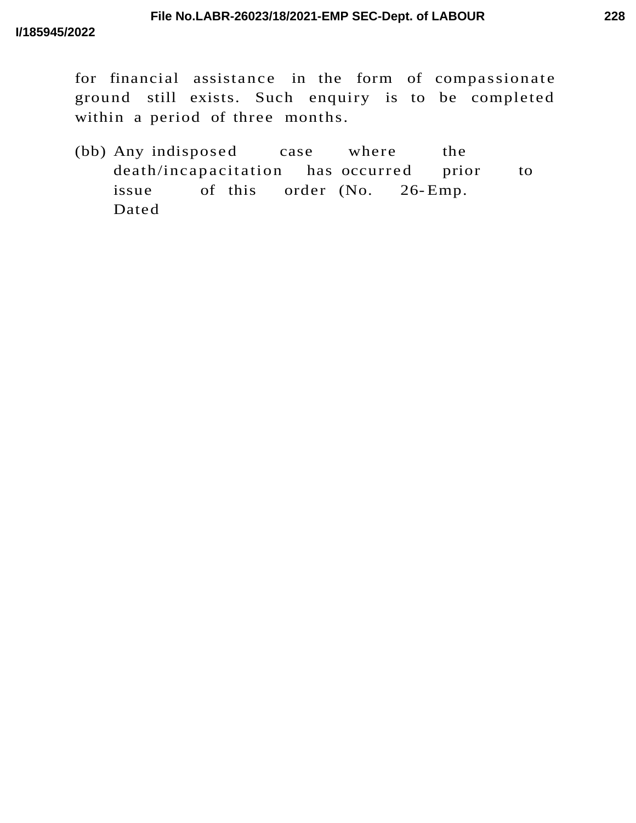for financial assistance in the form of compassionate ground still exists. Such enquiry is to be completed within a period of three months.

(bb) Any indisposed case where the death/incapacitation has occurred prior to issue of this order (No. 26-Emp. Dated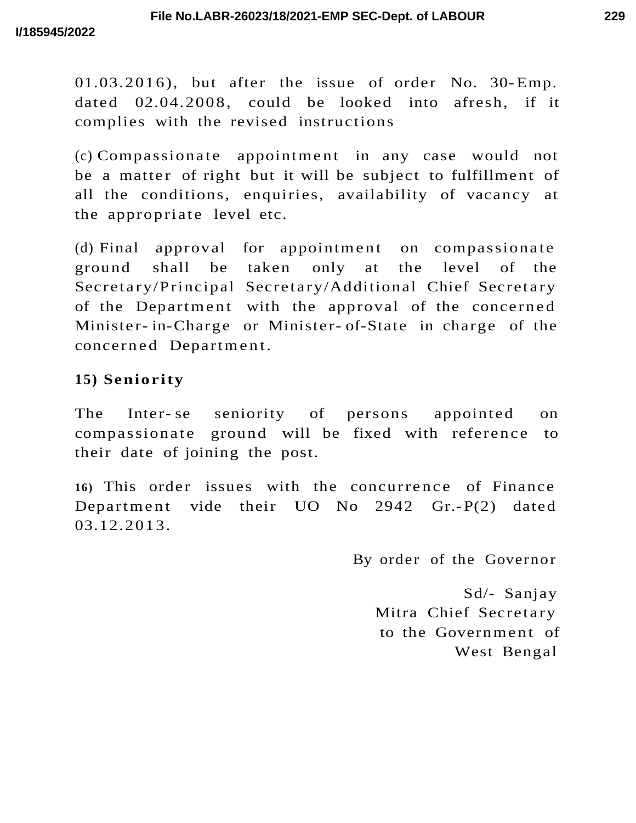$01.03.2016$ , but after the issue of order No. 30-Emp. dated 02.04.2008, could be looked into afresh, if it complies with the revised instructions

 $(c)$  Compassionate appointment in any case would not be a matter of right but it will be subject to fulfillment of all the conditions, enquiries, availability of vacancy at the appropriate level etc.

(d) Final approval for appointment on compassionate ground shall be taken only at the level of the Secretary/Principal Secretary/Additional Chief Secretary of the Department with the approval of the concerned Minister- in-Charge or Minister- of-State in charge of the concerned Department.

# **15) Seniority**

The Inter- se seniority of persons appointed on compassionate ground will be fixed with reference to their date of joining the post.

16) This order issues with the concurrence of Finance Department vide their  $UO$  No 2942 Gr.-P(2) dated 03.12.2013.

By order of the Governor

Sd/- Sanjay Mitra Chief Secretary to the Government of West Bengal